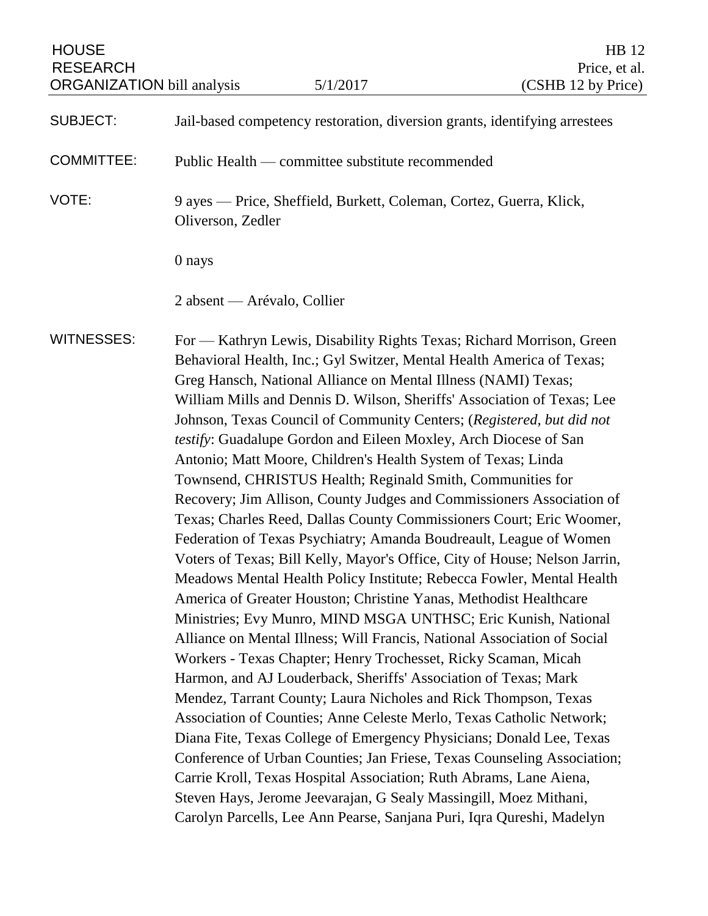| <b>HOUSE</b><br><b>RESEARCH</b><br><b>ORGANIZATION</b> bill analysis |                                                                                                                                                                                                                                                                                                                                                                                                                                                                                                                                                                                                                                                                                                                                                                                                                                                                                                                                                                                                                                                                                                                                                                                                                                                                                                                                                                                                                                                                                                                                                                                                                                                                                                                                                                                                                                 | 5/1/2017                                                                   | HB 12<br>Price, et al.<br>(CSHB 12 by Price) |
|----------------------------------------------------------------------|---------------------------------------------------------------------------------------------------------------------------------------------------------------------------------------------------------------------------------------------------------------------------------------------------------------------------------------------------------------------------------------------------------------------------------------------------------------------------------------------------------------------------------------------------------------------------------------------------------------------------------------------------------------------------------------------------------------------------------------------------------------------------------------------------------------------------------------------------------------------------------------------------------------------------------------------------------------------------------------------------------------------------------------------------------------------------------------------------------------------------------------------------------------------------------------------------------------------------------------------------------------------------------------------------------------------------------------------------------------------------------------------------------------------------------------------------------------------------------------------------------------------------------------------------------------------------------------------------------------------------------------------------------------------------------------------------------------------------------------------------------------------------------------------------------------------------------|----------------------------------------------------------------------------|----------------------------------------------|
| <b>SUBJECT:</b>                                                      |                                                                                                                                                                                                                                                                                                                                                                                                                                                                                                                                                                                                                                                                                                                                                                                                                                                                                                                                                                                                                                                                                                                                                                                                                                                                                                                                                                                                                                                                                                                                                                                                                                                                                                                                                                                                                                 | Jail-based competency restoration, diversion grants, identifying arrestees |                                              |
| <b>COMMITTEE:</b>                                                    | Public Health — committee substitute recommended                                                                                                                                                                                                                                                                                                                                                                                                                                                                                                                                                                                                                                                                                                                                                                                                                                                                                                                                                                                                                                                                                                                                                                                                                                                                                                                                                                                                                                                                                                                                                                                                                                                                                                                                                                                |                                                                            |                                              |
| VOTE:                                                                | 9 ayes — Price, Sheffield, Burkett, Coleman, Cortez, Guerra, Klick,<br>Oliverson, Zedler                                                                                                                                                                                                                                                                                                                                                                                                                                                                                                                                                                                                                                                                                                                                                                                                                                                                                                                                                                                                                                                                                                                                                                                                                                                                                                                                                                                                                                                                                                                                                                                                                                                                                                                                        |                                                                            |                                              |
|                                                                      | 0 nays                                                                                                                                                                                                                                                                                                                                                                                                                                                                                                                                                                                                                                                                                                                                                                                                                                                                                                                                                                                                                                                                                                                                                                                                                                                                                                                                                                                                                                                                                                                                                                                                                                                                                                                                                                                                                          |                                                                            |                                              |
|                                                                      | 2 absent — Arévalo, Collier                                                                                                                                                                                                                                                                                                                                                                                                                                                                                                                                                                                                                                                                                                                                                                                                                                                                                                                                                                                                                                                                                                                                                                                                                                                                                                                                                                                                                                                                                                                                                                                                                                                                                                                                                                                                     |                                                                            |                                              |
| <b>WITNESSES:</b>                                                    | For - Kathryn Lewis, Disability Rights Texas; Richard Morrison, Green<br>Behavioral Health, Inc.; Gyl Switzer, Mental Health America of Texas;<br>Greg Hansch, National Alliance on Mental Illness (NAMI) Texas;<br>William Mills and Dennis D. Wilson, Sheriffs' Association of Texas; Lee<br>Johnson, Texas Council of Community Centers; (Registered, but did not<br>testify: Guadalupe Gordon and Eileen Moxley, Arch Diocese of San<br>Antonio; Matt Moore, Children's Health System of Texas; Linda<br>Townsend, CHRISTUS Health; Reginald Smith, Communities for<br>Recovery; Jim Allison, County Judges and Commissioners Association of<br>Texas; Charles Reed, Dallas County Commissioners Court; Eric Woomer,<br>Federation of Texas Psychiatry; Amanda Boudreault, League of Women<br>Voters of Texas; Bill Kelly, Mayor's Office, City of House; Nelson Jarrin,<br>Meadows Mental Health Policy Institute; Rebecca Fowler, Mental Health<br>America of Greater Houston; Christine Yanas, Methodist Healthcare<br>Ministries; Evy Munro, MIND MSGA UNTHSC; Eric Kunish, National<br>Alliance on Mental Illness; Will Francis, National Association of Social<br>Workers - Texas Chapter; Henry Trochesset, Ricky Scaman, Micah<br>Harmon, and AJ Louderback, Sheriffs' Association of Texas; Mark<br>Mendez, Tarrant County; Laura Nicholes and Rick Thompson, Texas<br>Association of Counties; Anne Celeste Merlo, Texas Catholic Network;<br>Diana Fite, Texas College of Emergency Physicians; Donald Lee, Texas<br>Conference of Urban Counties; Jan Friese, Texas Counseling Association;<br>Carrie Kroll, Texas Hospital Association; Ruth Abrams, Lane Aiena,<br>Steven Hays, Jerome Jeevarajan, G Sealy Massingill, Moez Mithani,<br>Carolyn Parcells, Lee Ann Pearse, Sanjana Puri, Iqra Qureshi, Madelyn |                                                                            |                                              |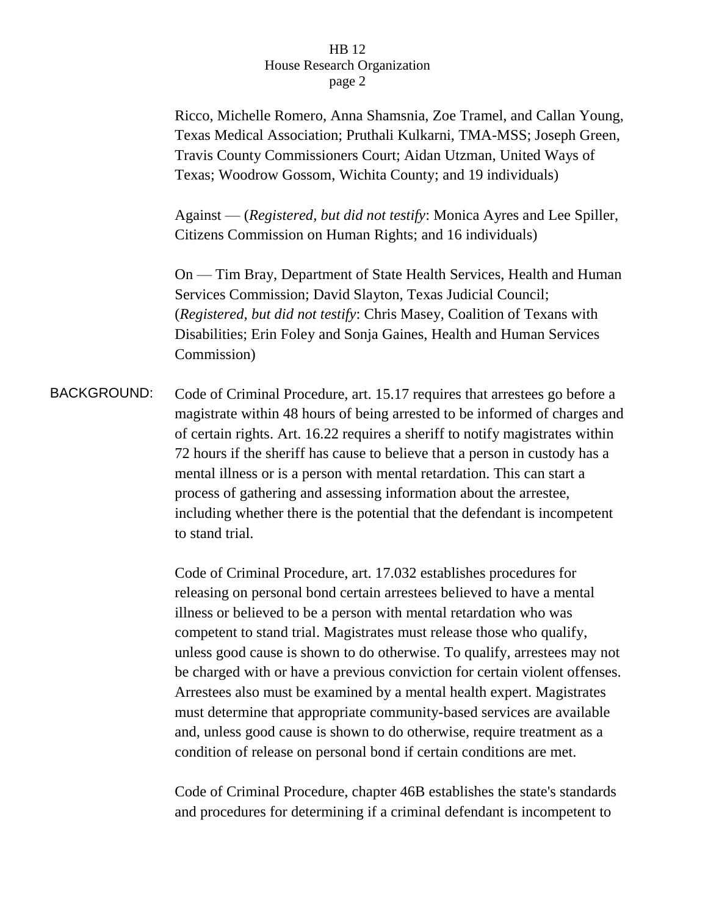Ricco, Michelle Romero, Anna Shamsnia, Zoe Tramel, and Callan Young, Texas Medical Association; Pruthali Kulkarni, TMA-MSS; Joseph Green, Travis County Commissioners Court; Aidan Utzman, United Ways of Texas; Woodrow Gossom, Wichita County; and 19 individuals)

Against — (*Registered, but did not testify*: Monica Ayres and Lee Spiller, Citizens Commission on Human Rights; and 16 individuals)

On — Tim Bray, Department of State Health Services, Health and Human Services Commission; David Slayton, Texas Judicial Council; (*Registered, but did not testify*: Chris Masey, Coalition of Texans with Disabilities; Erin Foley and Sonja Gaines, Health and Human Services Commission)

BACKGROUND: Code of Criminal Procedure, art. 15.17 requires that arrestees go before a magistrate within 48 hours of being arrested to be informed of charges and of certain rights. Art. 16.22 requires a sheriff to notify magistrates within 72 hours if the sheriff has cause to believe that a person in custody has a mental illness or is a person with mental retardation. This can start a process of gathering and assessing information about the arrestee, including whether there is the potential that the defendant is incompetent to stand trial.

> Code of Criminal Procedure, art. 17.032 establishes procedures for releasing on personal bond certain arrestees believed to have a mental illness or believed to be a person with mental retardation who was competent to stand trial. Magistrates must release those who qualify, unless good cause is shown to do otherwise. To qualify, arrestees may not be charged with or have a previous conviction for certain violent offenses. Arrestees also must be examined by a mental health expert. Magistrates must determine that appropriate community-based services are available and, unless good cause is shown to do otherwise, require treatment as a condition of release on personal bond if certain conditions are met.

Code of Criminal Procedure, chapter 46B establishes the state's standards and procedures for determining if a criminal defendant is incompetent to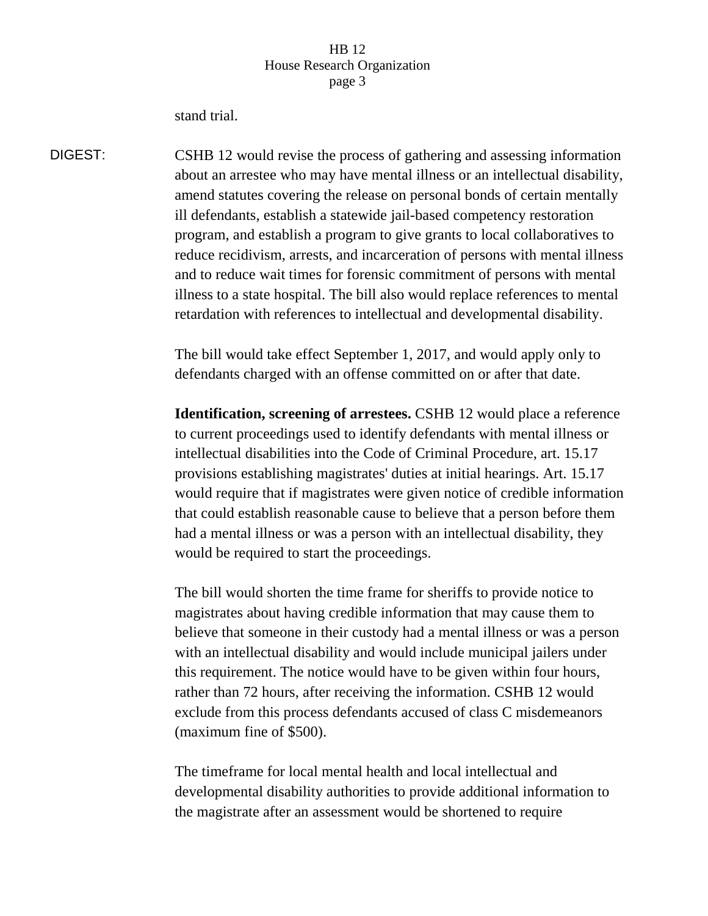stand trial.

DIGEST: CSHB 12 would revise the process of gathering and assessing information about an arrestee who may have mental illness or an intellectual disability, amend statutes covering the release on personal bonds of certain mentally ill defendants, establish a statewide jail-based competency restoration program, and establish a program to give grants to local collaboratives to reduce recidivism, arrests, and incarceration of persons with mental illness and to reduce wait times for forensic commitment of persons with mental illness to a state hospital. The bill also would replace references to mental retardation with references to intellectual and developmental disability.

> The bill would take effect September 1, 2017, and would apply only to defendants charged with an offense committed on or after that date.

**Identification, screening of arrestees.** CSHB 12 would place a reference to current proceedings used to identify defendants with mental illness or intellectual disabilities into the Code of Criminal Procedure, art. 15.17 provisions establishing magistrates' duties at initial hearings. Art. 15.17 would require that if magistrates were given notice of credible information that could establish reasonable cause to believe that a person before them had a mental illness or was a person with an intellectual disability, they would be required to start the proceedings.

The bill would shorten the time frame for sheriffs to provide notice to magistrates about having credible information that may cause them to believe that someone in their custody had a mental illness or was a person with an intellectual disability and would include municipal jailers under this requirement. The notice would have to be given within four hours, rather than 72 hours, after receiving the information. CSHB 12 would exclude from this process defendants accused of class C misdemeanors (maximum fine of \$500).

The timeframe for local mental health and local intellectual and developmental disability authorities to provide additional information to the magistrate after an assessment would be shortened to require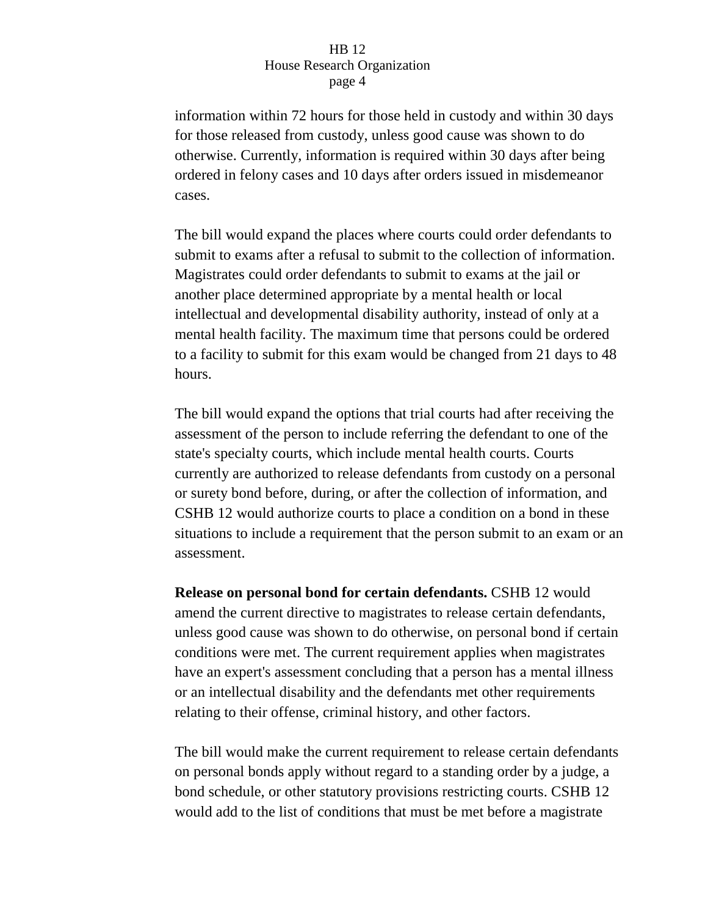information within 72 hours for those held in custody and within 30 days for those released from custody, unless good cause was shown to do otherwise. Currently, information is required within 30 days after being ordered in felony cases and 10 days after orders issued in misdemeanor cases.

The bill would expand the places where courts could order defendants to submit to exams after a refusal to submit to the collection of information. Magistrates could order defendants to submit to exams at the jail or another place determined appropriate by a mental health or local intellectual and developmental disability authority, instead of only at a mental health facility. The maximum time that persons could be ordered to a facility to submit for this exam would be changed from 21 days to 48 hours.

The bill would expand the options that trial courts had after receiving the assessment of the person to include referring the defendant to one of the state's specialty courts, which include mental health courts. Courts currently are authorized to release defendants from custody on a personal or surety bond before, during, or after the collection of information, and CSHB 12 would authorize courts to place a condition on a bond in these situations to include a requirement that the person submit to an exam or an assessment.

**Release on personal bond for certain defendants. CSHB 12 would** amend the current directive to magistrates to release certain defendants, unless good cause was shown to do otherwise, on personal bond if certain conditions were met. The current requirement applies when magistrates have an expert's assessment concluding that a person has a mental illness or an intellectual disability and the defendants met other requirements relating to their offense, criminal history, and other factors.

The bill would make the current requirement to release certain defendants on personal bonds apply without regard to a standing order by a judge, a bond schedule, or other statutory provisions restricting courts. CSHB 12 would add to the list of conditions that must be met before a magistrate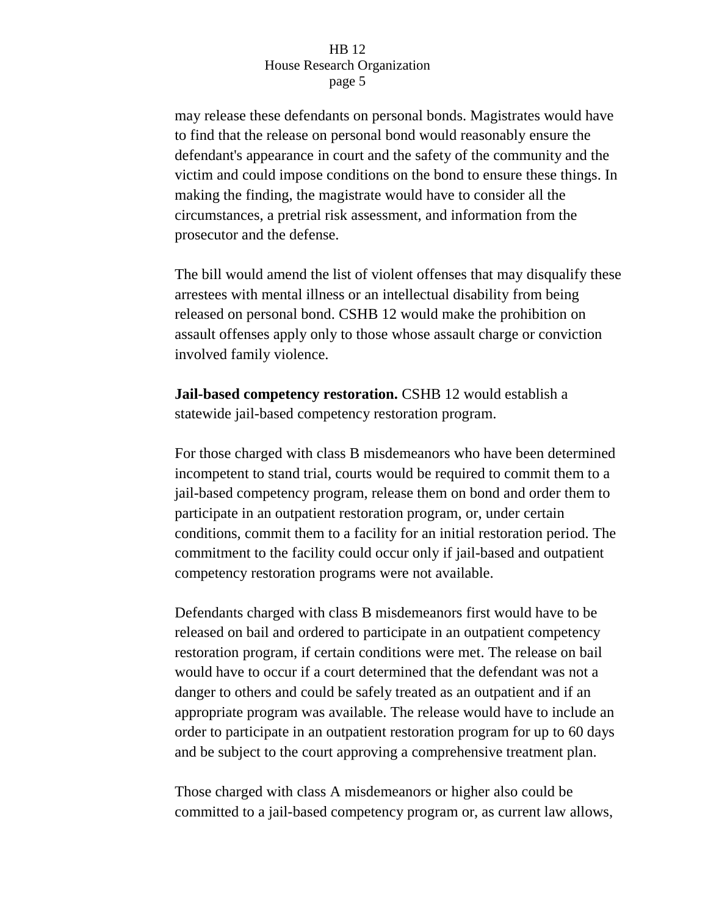may release these defendants on personal bonds. Magistrates would have to find that the release on personal bond would reasonably ensure the defendant's appearance in court and the safety of the community and the victim and could impose conditions on the bond to ensure these things. In making the finding, the magistrate would have to consider all the circumstances, a pretrial risk assessment, and information from the prosecutor and the defense.

The bill would amend the list of violent offenses that may disqualify these arrestees with mental illness or an intellectual disability from being released on personal bond. CSHB 12 would make the prohibition on assault offenses apply only to those whose assault charge or conviction involved family violence.

**Jail-based competency restoration.** CSHB 12 would establish a statewide jail-based competency restoration program.

For those charged with class B misdemeanors who have been determined incompetent to stand trial, courts would be required to commit them to a jail-based competency program, release them on bond and order them to participate in an outpatient restoration program, or, under certain conditions, commit them to a facility for an initial restoration period. The commitment to the facility could occur only if jail-based and outpatient competency restoration programs were not available.

Defendants charged with class B misdemeanors first would have to be released on bail and ordered to participate in an outpatient competency restoration program, if certain conditions were met. The release on bail would have to occur if a court determined that the defendant was not a danger to others and could be safely treated as an outpatient and if an appropriate program was available. The release would have to include an order to participate in an outpatient restoration program for up to 60 days and be subject to the court approving a comprehensive treatment plan.

Those charged with class A misdemeanors or higher also could be committed to a jail-based competency program or, as current law allows,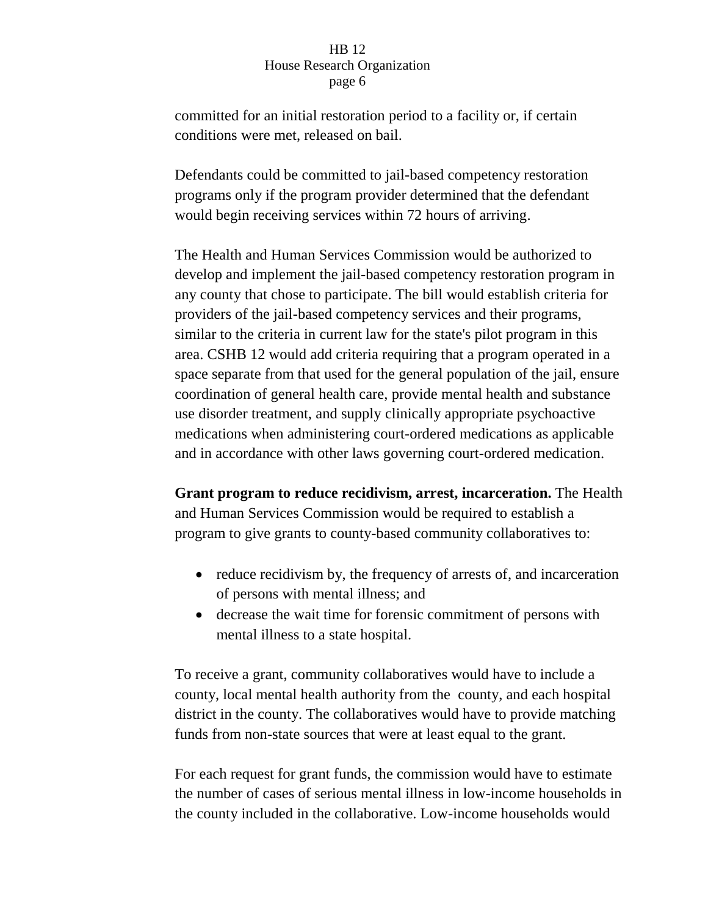committed for an initial restoration period to a facility or, if certain conditions were met, released on bail.

Defendants could be committed to jail-based competency restoration programs only if the program provider determined that the defendant would begin receiving services within 72 hours of arriving.

The Health and Human Services Commission would be authorized to develop and implement the jail-based competency restoration program in any county that chose to participate. The bill would establish criteria for providers of the jail-based competency services and their programs, similar to the criteria in current law for the state's pilot program in this area. CSHB 12 would add criteria requiring that a program operated in a space separate from that used for the general population of the jail, ensure coordination of general health care, provide mental health and substance use disorder treatment, and supply clinically appropriate psychoactive medications when administering court-ordered medications as applicable and in accordance with other laws governing court-ordered medication.

**Grant program to reduce recidivism, arrest, incarceration.** The Health and Human Services Commission would be required to establish a program to give grants to county-based community collaboratives to:

- reduce recidivism by, the frequency of arrests of, and incarceration of persons with mental illness; and
- decrease the wait time for forensic commitment of persons with mental illness to a state hospital.

To receive a grant, community collaboratives would have to include a county, local mental health authority from the county, and each hospital district in the county. The collaboratives would have to provide matching funds from non-state sources that were at least equal to the grant.

For each request for grant funds, the commission would have to estimate the number of cases of serious mental illness in low-income households in the county included in the collaborative. Low-income households would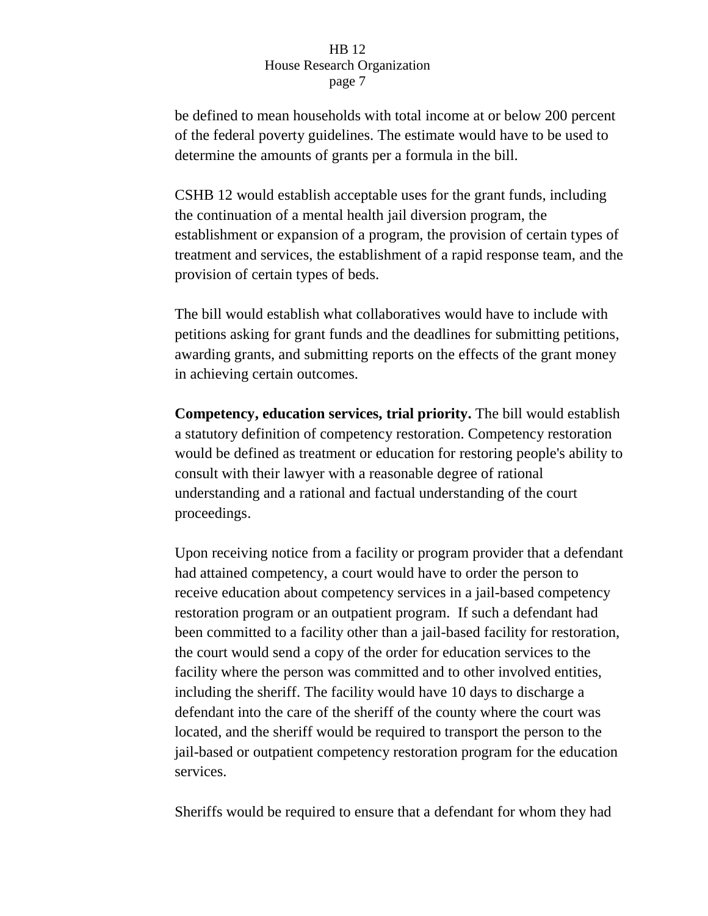be defined to mean households with total income at or below 200 percent of the federal poverty guidelines. The estimate would have to be used to determine the amounts of grants per a formula in the bill.

CSHB 12 would establish acceptable uses for the grant funds, including the continuation of a mental health jail diversion program, the establishment or expansion of a program, the provision of certain types of treatment and services, the establishment of a rapid response team, and the provision of certain types of beds.

The bill would establish what collaboratives would have to include with petitions asking for grant funds and the deadlines for submitting petitions, awarding grants, and submitting reports on the effects of the grant money in achieving certain outcomes.

**Competency, education services, trial priority.** The bill would establish a statutory definition of competency restoration. Competency restoration would be defined as treatment or education for restoring people's ability to consult with their lawyer with a reasonable degree of rational understanding and a rational and factual understanding of the court proceedings.

Upon receiving notice from a facility or program provider that a defendant had attained competency, a court would have to order the person to receive education about competency services in a jail-based competency restoration program or an outpatient program. If such a defendant had been committed to a facility other than a jail-based facility for restoration, the court would send a copy of the order for education services to the facility where the person was committed and to other involved entities, including the sheriff. The facility would have 10 days to discharge a defendant into the care of the sheriff of the county where the court was located, and the sheriff would be required to transport the person to the jail-based or outpatient competency restoration program for the education services.

Sheriffs would be required to ensure that a defendant for whom they had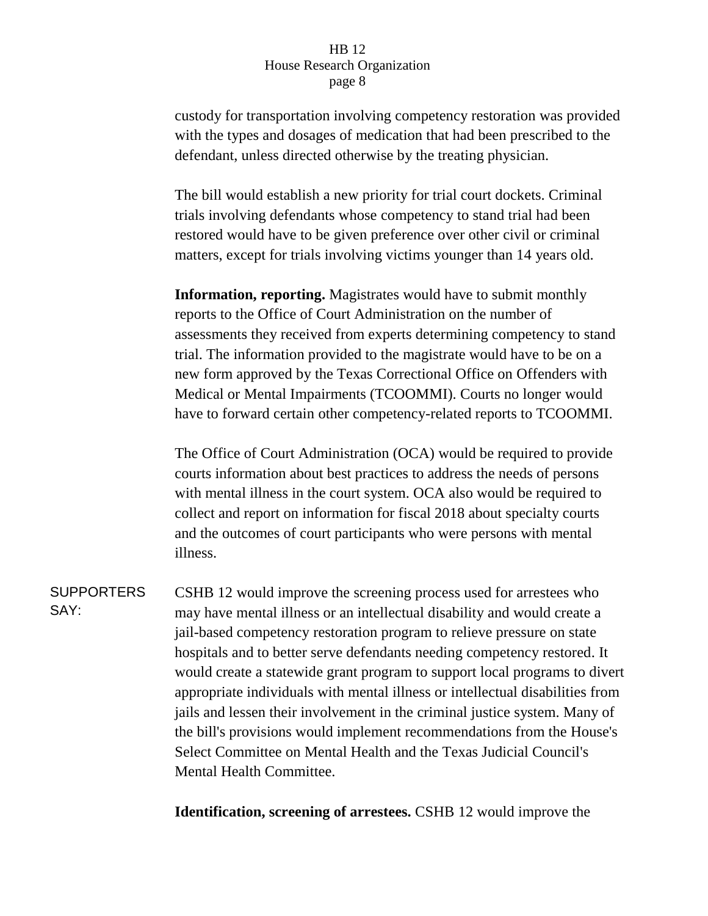custody for transportation involving competency restoration was provided with the types and dosages of medication that had been prescribed to the defendant, unless directed otherwise by the treating physician.

The bill would establish a new priority for trial court dockets. Criminal trials involving defendants whose competency to stand trial had been restored would have to be given preference over other civil or criminal matters, except for trials involving victims younger than 14 years old.

**Information, reporting.** Magistrates would have to submit monthly reports to the Office of Court Administration on the number of assessments they received from experts determining competency to stand trial. The information provided to the magistrate would have to be on a new form approved by the Texas Correctional Office on Offenders with Medical or Mental Impairments (TCOOMMI). Courts no longer would have to forward certain other competency-related reports to TCOOMMI.

The Office of Court Administration (OCA) would be required to provide courts information about best practices to address the needs of persons with mental illness in the court system. OCA also would be required to collect and report on information for fiscal 2018 about specialty courts and the outcomes of court participants who were persons with mental illness.

**SUPPORTERS** SAY: CSHB 12 would improve the screening process used for arrestees who may have mental illness or an intellectual disability and would create a jail-based competency restoration program to relieve pressure on state hospitals and to better serve defendants needing competency restored. It would create a statewide grant program to support local programs to divert appropriate individuals with mental illness or intellectual disabilities from jails and lessen their involvement in the criminal justice system. Many of the bill's provisions would implement recommendations from the House's Select Committee on Mental Health and the Texas Judicial Council's Mental Health Committee.

**Identification, screening of arrestees.** CSHB 12 would improve the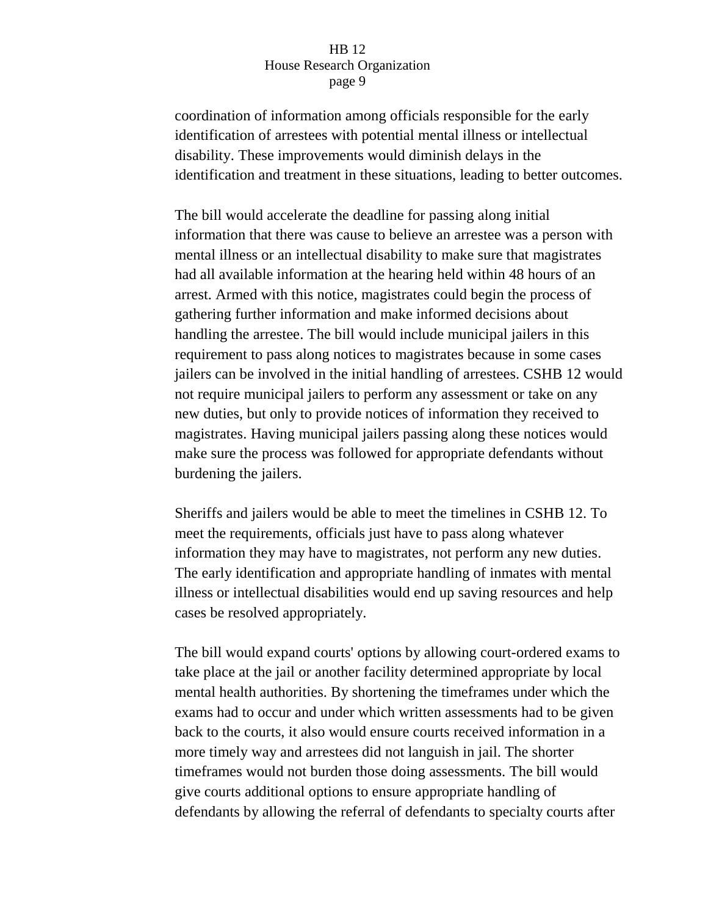coordination of information among officials responsible for the early identification of arrestees with potential mental illness or intellectual disability. These improvements would diminish delays in the identification and treatment in these situations, leading to better outcomes.

The bill would accelerate the deadline for passing along initial information that there was cause to believe an arrestee was a person with mental illness or an intellectual disability to make sure that magistrates had all available information at the hearing held within 48 hours of an arrest. Armed with this notice, magistrates could begin the process of gathering further information and make informed decisions about handling the arrestee. The bill would include municipal jailers in this requirement to pass along notices to magistrates because in some cases jailers can be involved in the initial handling of arrestees. CSHB 12 would not require municipal jailers to perform any assessment or take on any new duties, but only to provide notices of information they received to magistrates. Having municipal jailers passing along these notices would make sure the process was followed for appropriate defendants without burdening the jailers.

Sheriffs and jailers would be able to meet the timelines in CSHB 12. To meet the requirements, officials just have to pass along whatever information they may have to magistrates, not perform any new duties. The early identification and appropriate handling of inmates with mental illness or intellectual disabilities would end up saving resources and help cases be resolved appropriately.

The bill would expand courts' options by allowing court-ordered exams to take place at the jail or another facility determined appropriate by local mental health authorities. By shortening the timeframes under which the exams had to occur and under which written assessments had to be given back to the courts, it also would ensure courts received information in a more timely way and arrestees did not languish in jail. The shorter timeframes would not burden those doing assessments. The bill would give courts additional options to ensure appropriate handling of defendants by allowing the referral of defendants to specialty courts after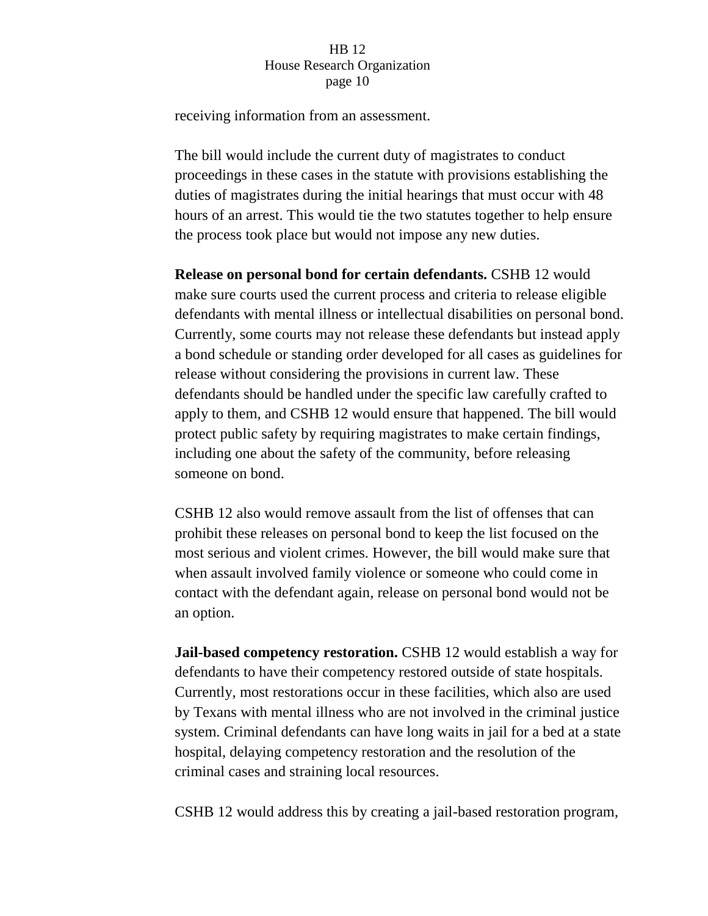receiving information from an assessment.

The bill would include the current duty of magistrates to conduct proceedings in these cases in the statute with provisions establishing the duties of magistrates during the initial hearings that must occur with 48 hours of an arrest. This would tie the two statutes together to help ensure the process took place but would not impose any new duties.

**Release on personal bond for certain defendants.** CSHB 12 would make sure courts used the current process and criteria to release eligible defendants with mental illness or intellectual disabilities on personal bond. Currently, some courts may not release these defendants but instead apply a bond schedule or standing order developed for all cases as guidelines for release without considering the provisions in current law. These defendants should be handled under the specific law carefully crafted to apply to them, and CSHB 12 would ensure that happened. The bill would protect public safety by requiring magistrates to make certain findings, including one about the safety of the community, before releasing someone on bond.

CSHB 12 also would remove assault from the list of offenses that can prohibit these releases on personal bond to keep the list focused on the most serious and violent crimes. However, the bill would make sure that when assault involved family violence or someone who could come in contact with the defendant again, release on personal bond would not be an option.

**Jail-based competency restoration.** CSHB 12 would establish a way for defendants to have their competency restored outside of state hospitals. Currently, most restorations occur in these facilities, which also are used by Texans with mental illness who are not involved in the criminal justice system. Criminal defendants can have long waits in jail for a bed at a state hospital, delaying competency restoration and the resolution of the criminal cases and straining local resources.

CSHB 12 would address this by creating a jail-based restoration program,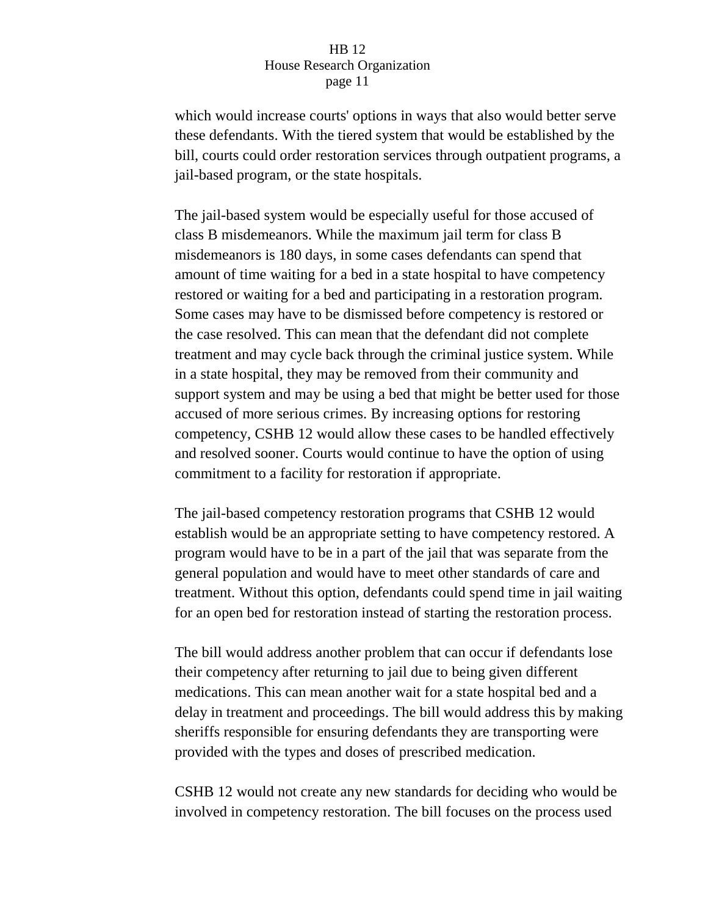which would increase courts' options in ways that also would better serve these defendants. With the tiered system that would be established by the bill, courts could order restoration services through outpatient programs, a jail-based program, or the state hospitals.

The jail-based system would be especially useful for those accused of class B misdemeanors. While the maximum jail term for class B misdemeanors is 180 days, in some cases defendants can spend that amount of time waiting for a bed in a state hospital to have competency restored or waiting for a bed and participating in a restoration program. Some cases may have to be dismissed before competency is restored or the case resolved. This can mean that the defendant did not complete treatment and may cycle back through the criminal justice system. While in a state hospital, they may be removed from their community and support system and may be using a bed that might be better used for those accused of more serious crimes. By increasing options for restoring competency, CSHB 12 would allow these cases to be handled effectively and resolved sooner. Courts would continue to have the option of using commitment to a facility for restoration if appropriate.

The jail-based competency restoration programs that CSHB 12 would establish would be an appropriate setting to have competency restored. A program would have to be in a part of the jail that was separate from the general population and would have to meet other standards of care and treatment. Without this option, defendants could spend time in jail waiting for an open bed for restoration instead of starting the restoration process.

The bill would address another problem that can occur if defendants lose their competency after returning to jail due to being given different medications. This can mean another wait for a state hospital bed and a delay in treatment and proceedings. The bill would address this by making sheriffs responsible for ensuring defendants they are transporting were provided with the types and doses of prescribed medication.

CSHB 12 would not create any new standards for deciding who would be involved in competency restoration. The bill focuses on the process used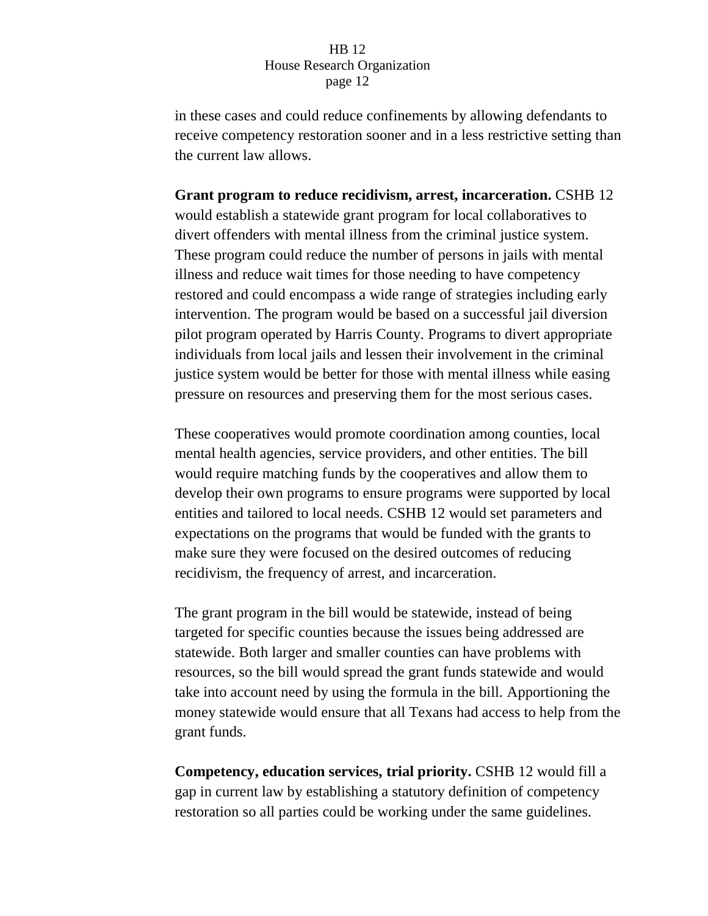in these cases and could reduce confinements by allowing defendants to receive competency restoration sooner and in a less restrictive setting than the current law allows.

**Grant program to reduce recidivism, arrest, incarceration.** CSHB 12 would establish a statewide grant program for local collaboratives to divert offenders with mental illness from the criminal justice system. These program could reduce the number of persons in jails with mental illness and reduce wait times for those needing to have competency restored and could encompass a wide range of strategies including early intervention. The program would be based on a successful jail diversion pilot program operated by Harris County. Programs to divert appropriate individuals from local jails and lessen their involvement in the criminal justice system would be better for those with mental illness while easing pressure on resources and preserving them for the most serious cases.

These cooperatives would promote coordination among counties, local mental health agencies, service providers, and other entities. The bill would require matching funds by the cooperatives and allow them to develop their own programs to ensure programs were supported by local entities and tailored to local needs. CSHB 12 would set parameters and expectations on the programs that would be funded with the grants to make sure they were focused on the desired outcomes of reducing recidivism, the frequency of arrest, and incarceration.

The grant program in the bill would be statewide, instead of being targeted for specific counties because the issues being addressed are statewide. Both larger and smaller counties can have problems with resources, so the bill would spread the grant funds statewide and would take into account need by using the formula in the bill. Apportioning the money statewide would ensure that all Texans had access to help from the grant funds.

**Competency, education services, trial priority.** CSHB 12 would fill a gap in current law by establishing a statutory definition of competency restoration so all parties could be working under the same guidelines.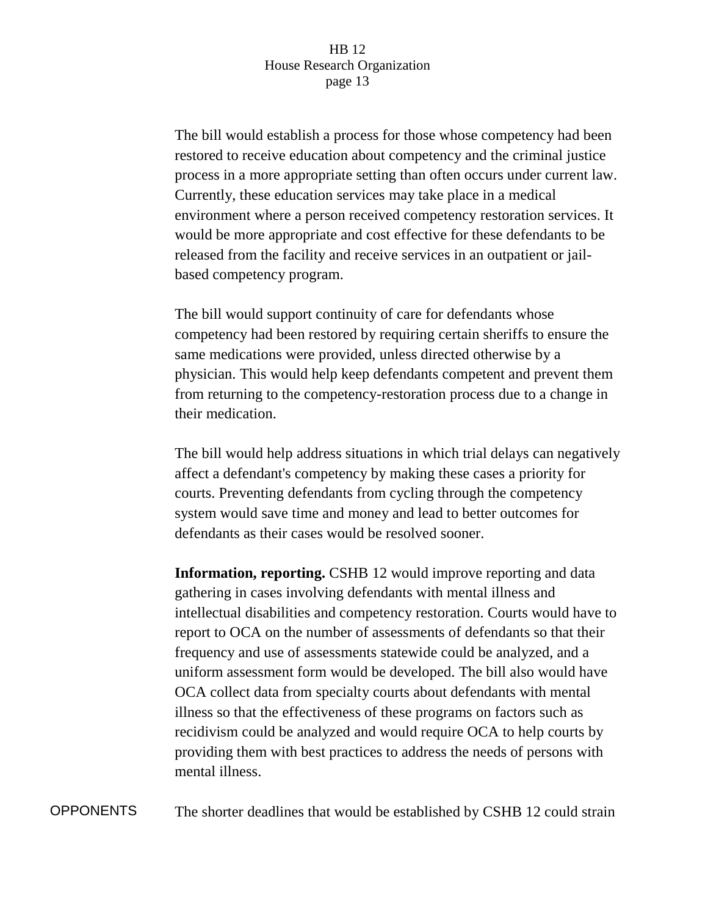The bill would establish a process for those whose competency had been restored to receive education about competency and the criminal justice process in a more appropriate setting than often occurs under current law. Currently, these education services may take place in a medical environment where a person received competency restoration services. It would be more appropriate and cost effective for these defendants to be released from the facility and receive services in an outpatient or jailbased competency program.

The bill would support continuity of care for defendants whose competency had been restored by requiring certain sheriffs to ensure the same medications were provided, unless directed otherwise by a physician. This would help keep defendants competent and prevent them from returning to the competency-restoration process due to a change in their medication.

The bill would help address situations in which trial delays can negatively affect a defendant's competency by making these cases a priority for courts. Preventing defendants from cycling through the competency system would save time and money and lead to better outcomes for defendants as their cases would be resolved sooner.

**Information, reporting.** CSHB 12 would improve reporting and data gathering in cases involving defendants with mental illness and intellectual disabilities and competency restoration. Courts would have to report to OCA on the number of assessments of defendants so that their frequency and use of assessments statewide could be analyzed, and a uniform assessment form would be developed. The bill also would have OCA collect data from specialty courts about defendants with mental illness so that the effectiveness of these programs on factors such as recidivism could be analyzed and would require OCA to help courts by providing them with best practices to address the needs of persons with mental illness.

OPPONENTS The shorter deadlines that would be established by CSHB 12 could strain